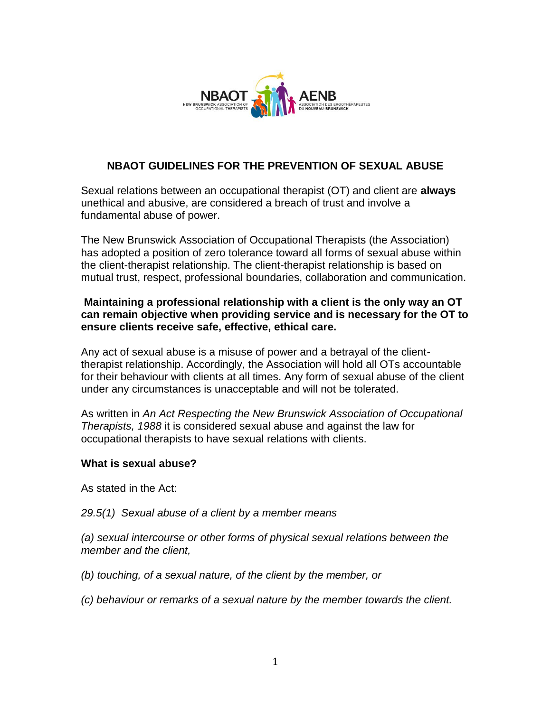

# **NBAOT GUIDELINES FOR THE PREVENTION OF SEXUAL ABUSE**

Sexual relations between an occupational therapist (OT) and client are **always** unethical and abusive, are considered a breach of trust and involve a fundamental abuse of power.

The New Brunswick Association of Occupational Therapists (the Association) has adopted a position of zero tolerance toward all forms of sexual abuse within the client-therapist relationship. The client-therapist relationship is based on mutual trust, respect, professional boundaries, collaboration and communication.

## **Maintaining a professional relationship with a client is the only way an OT can remain objective when providing service and is necessary for the OT to ensure clients receive safe, effective, ethical care.**

Any act of sexual abuse is a misuse of power and a betrayal of the clienttherapist relationship. Accordingly, the Association will hold all OTs accountable for their behaviour with clients at all times. Any form of sexual abuse of the client under any circumstances is unacceptable and will not be tolerated.

As written in *An Act Respecting the New Brunswick Association of Occupational Therapists, 1988* it is considered sexual abuse and against the law for occupational therapists to have sexual relations with clients.

### **What is sexual abuse?**

As stated in the Act:

### *29.5(1) Sexual abuse of a client by a member means*

*(a) sexual intercourse or other forms of physical sexual relations between the member and the client,* 

*(b) touching, of a sexual nature, of the client by the member, or* 

*(c) behaviour or remarks of a sexual nature by the member towards the client.*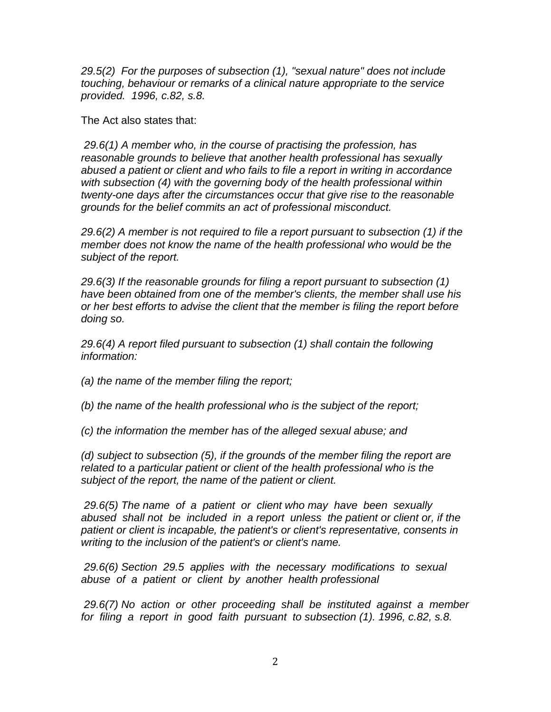*29.5(2) For the purposes of subsection (1), "sexual nature" does not include touching, behaviour or remarks of a clinical nature appropriate to the service provided. 1996, c.82, s.8.* 

The Act also states that:

*29.6(1) A member who, in the course of practising the profession, has reasonable grounds to believe that another health professional has sexually abused a patient or client and who fails to file a report in writing in accordance with subsection (4) with the governing body of the health professional within twenty-one days after the circumstances occur that give rise to the reasonable grounds for the belief commits an act of professional misconduct.* 

*29.6(2) A member is not required to file a report pursuant to subsection (1) if the member does not know the name of the health professional who would be the subject of the report.* 

*29.6(3) If the reasonable grounds for filing a report pursuant to subsection (1) have been obtained from one of the member's clients, the member shall use his or her best efforts to advise the client that the member is filing the report before doing so.* 

*29.6(4) A report filed pursuant to subsection (1) shall contain the following information:* 

*(a) the name of the member filing the report;* 

*(b) the name of the health professional who is the subject of the report;* 

*(c) the information the member has of the alleged sexual abuse; and* 

*(d) subject to subsection (5), if the grounds of the member filing the report are related to a particular patient or client of the health professional who is the subject of the report, the name of the patient or client.* 

*29.6(5) The name of a patient or client who may have been sexually abused shall not be included in a report unless the patient or client or, if the patient or client is incapable, the patient's or client's representative, consents in writing to the inclusion of the patient's or client's name.* 

*29.6(6) Section 29.5 applies with the necessary modifications to sexual abuse of a patient or client by another health professional*

*29.6(7) No action or other proceeding shall be instituted against a member for filing a report in good faith pursuant to subsection (1). 1996, c.82, s.8.*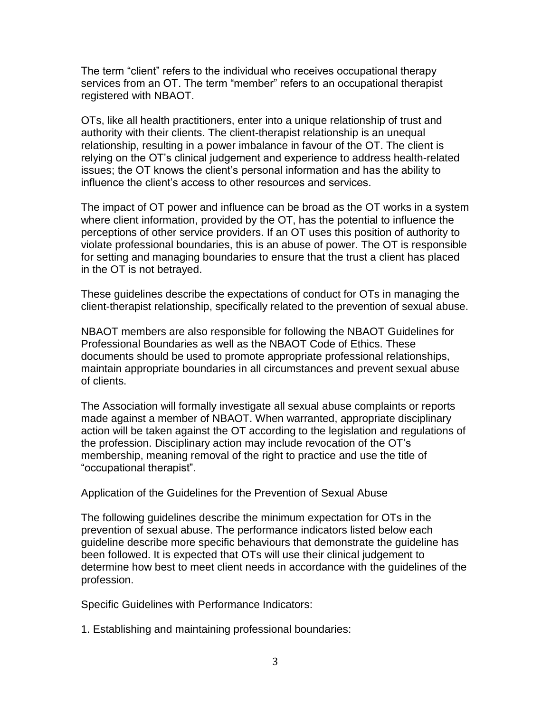The term "client" refers to the individual who receives occupational therapy services from an OT. The term "member" refers to an occupational therapist registered with NBAOT.

OTs, like all health practitioners, enter into a unique relationship of trust and authority with their clients. The client-therapist relationship is an unequal relationship, resulting in a power imbalance in favour of the OT. The client is relying on the OT's clinical judgement and experience to address health-related issues; the OT knows the client's personal information and has the ability to influence the client's access to other resources and services.

The impact of OT power and influence can be broad as the OT works in a system where client information, provided by the OT, has the potential to influence the perceptions of other service providers. If an OT uses this position of authority to violate professional boundaries, this is an abuse of power. The OT is responsible for setting and managing boundaries to ensure that the trust a client has placed in the OT is not betrayed.

These guidelines describe the expectations of conduct for OTs in managing the client-therapist relationship, specifically related to the prevention of sexual abuse.

NBAOT members are also responsible for following the NBAOT Guidelines for Professional Boundaries as well as the NBAOT Code of Ethics. These documents should be used to promote appropriate professional relationships, maintain appropriate boundaries in all circumstances and prevent sexual abuse of clients.

The Association will formally investigate all sexual abuse complaints or reports made against a member of NBAOT. When warranted, appropriate disciplinary action will be taken against the OT according to the legislation and regulations of the profession. Disciplinary action may include revocation of the OT's membership, meaning removal of the right to practice and use the title of "occupational therapist".

Application of the Guidelines for the Prevention of Sexual Abuse

The following guidelines describe the minimum expectation for OTs in the prevention of sexual abuse. The performance indicators listed below each guideline describe more specific behaviours that demonstrate the guideline has been followed. It is expected that OTs will use their clinical judgement to determine how best to meet client needs in accordance with the guidelines of the profession.

Specific Guidelines with Performance Indicators:

1. Establishing and maintaining professional boundaries: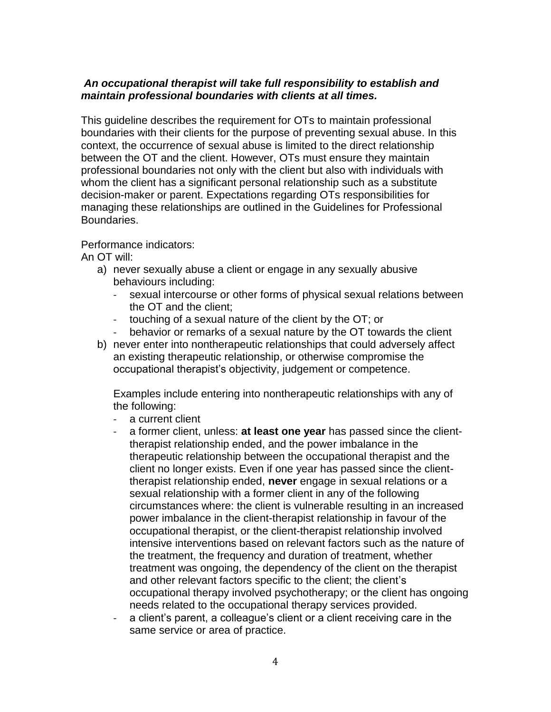## *An occupational therapist will take full responsibility to establish and maintain professional boundaries with clients at all times.*

This guideline describes the requirement for OTs to maintain professional boundaries with their clients for the purpose of preventing sexual abuse. In this context, the occurrence of sexual abuse is limited to the direct relationship between the OT and the client. However, OTs must ensure they maintain professional boundaries not only with the client but also with individuals with whom the client has a significant personal relationship such as a substitute decision-maker or parent. Expectations regarding OTs responsibilities for managing these relationships are outlined in the Guidelines for Professional Boundaries.

Performance indicators:

An OT will:

- a) never sexually abuse a client or engage in any sexually abusive behaviours including:
	- sexual intercourse or other forms of physical sexual relations between the OT and the client;
	- touching of a sexual nature of the client by the OT; or
	- behavior or remarks of a sexual nature by the OT towards the client
- b) never enter into nontherapeutic relationships that could adversely affect an existing therapeutic relationship, or otherwise compromise the occupational therapist's objectivity, judgement or competence.

Examples include entering into nontherapeutic relationships with any of the following:

- a current client
- a former client, unless: **at least one year** has passed since the clienttherapist relationship ended, and the power imbalance in the therapeutic relationship between the occupational therapist and the client no longer exists. Even if one year has passed since the clienttherapist relationship ended, **never** engage in sexual relations or a sexual relationship with a former client in any of the following circumstances where: the client is vulnerable resulting in an increased power imbalance in the client-therapist relationship in favour of the occupational therapist, or the client-therapist relationship involved intensive interventions based on relevant factors such as the nature of the treatment, the frequency and duration of treatment, whether treatment was ongoing, the dependency of the client on the therapist and other relevant factors specific to the client; the client's occupational therapy involved psychotherapy; or the client has ongoing needs related to the occupational therapy services provided.
- a client's parent, a colleague's client or a client receiving care in the same service or area of practice.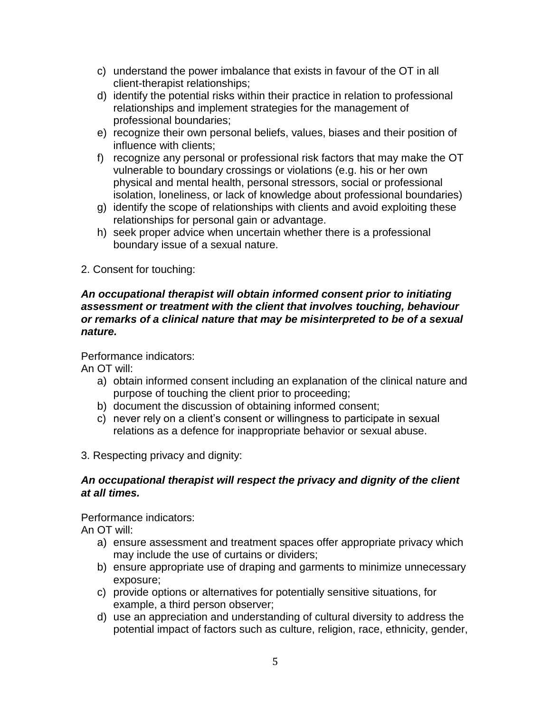- c) understand the power imbalance that exists in favour of the OT in all client-therapist relationships;
- d) identify the potential risks within their practice in relation to professional relationships and implement strategies for the management of professional boundaries;
- e) recognize their own personal beliefs, values, biases and their position of influence with clients;
- f) recognize any personal or professional risk factors that may make the OT vulnerable to boundary crossings or violations (e.g. his or her own physical and mental health, personal stressors, social or professional isolation, loneliness, or lack of knowledge about professional boundaries)
- g) identify the scope of relationships with clients and avoid exploiting these relationships for personal gain or advantage.
- h) seek proper advice when uncertain whether there is a professional boundary issue of a sexual nature.
- 2. Consent for touching:

### *An occupational therapist will obtain informed consent prior to initiating assessment or treatment with the client that involves touching, behaviour or remarks of a clinical nature that may be misinterpreted to be of a sexual nature.*

Performance indicators:

An OT will:

- a) obtain informed consent including an explanation of the clinical nature and purpose of touching the client prior to proceeding;
- b) document the discussion of obtaining informed consent;
- c) never rely on a client's consent or willingness to participate in sexual relations as a defence for inappropriate behavior or sexual abuse.
- 3. Respecting privacy and dignity:

### *An occupational therapist will respect the privacy and dignity of the client at all times.*

Performance indicators:

An OT will:

- a) ensure assessment and treatment spaces offer appropriate privacy which may include the use of curtains or dividers;
- b) ensure appropriate use of draping and garments to minimize unnecessary exposure;
- c) provide options or alternatives for potentially sensitive situations, for example, a third person observer;
- d) use an appreciation and understanding of cultural diversity to address the potential impact of factors such as culture, religion, race, ethnicity, gender,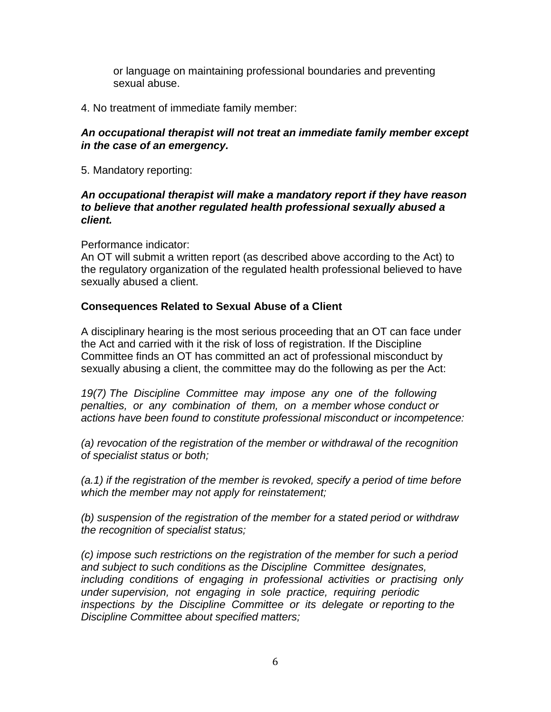or language on maintaining professional boundaries and preventing sexual abuse.

4. No treatment of immediate family member:

### *An occupational therapist will not treat an immediate family member except in the case of an emergency.*

5. Mandatory reporting:

#### *An occupational therapist will make a mandatory report if they have reason to believe that another regulated health professional sexually abused a client.*

Performance indicator:

An OT will submit a written report (as described above according to the Act) to the regulatory organization of the regulated health professional believed to have sexually abused a client.

## **Consequences Related to Sexual Abuse of a Client**

A disciplinary hearing is the most serious proceeding that an OT can face under the Act and carried with it the risk of loss of registration. If the Discipline Committee finds an OT has committed an act of professional misconduct by sexually abusing a client, the committee may do the following as per the Act:

*19(7) The Discipline Committee may impose any one of the following penalties, or any combination of them, on a member whose conduct or actions have been found to constitute professional misconduct or incompetence:* 

*(a) revocation of the registration of the member or withdrawal of the recognition of specialist status or both;* 

*(a.1) if the registration of the member is revoked, specify a period of time before which the member may not apply for reinstatement;* 

*(b) suspension of the registration of the member for a stated period or withdraw the recognition of specialist status;* 

*(c) impose such restrictions on the registration of the member for such a period and subject to such conditions as the Discipline Committee designates, including conditions of engaging in professional activities or practising only under supervision, not engaging in sole practice, requiring periodic inspections by the Discipline Committee or its delegate or reporting to the Discipline Committee about specified matters;*